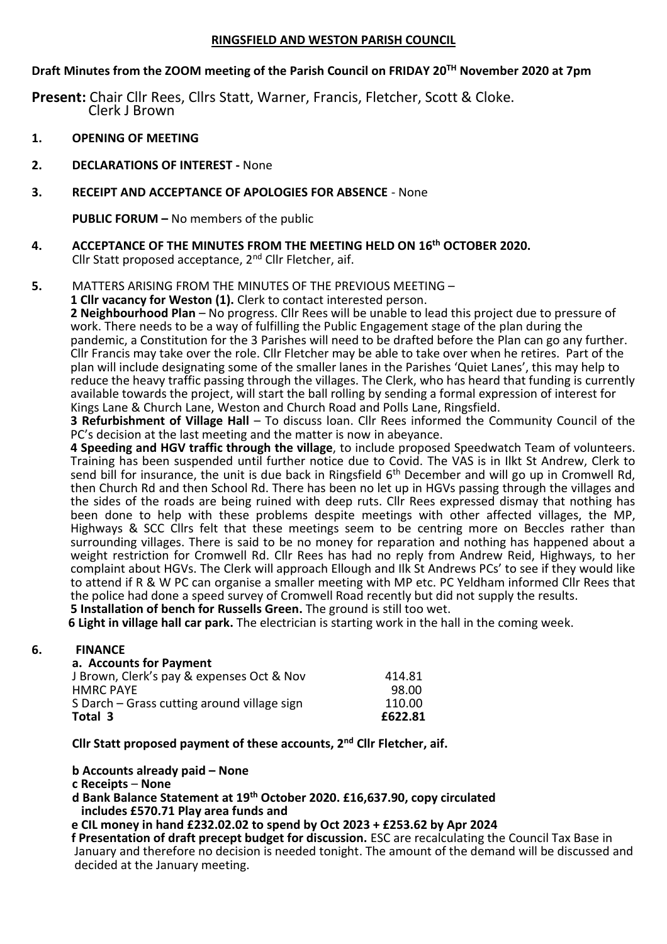### **RINGSFIELD AND WESTON PARISH COUNCIL**

# **Draft Minutes from the ZOOM meeting of the Parish Council on FRIDAY 20TH November 2020 at 7pm**

**Present:** Chair Cllr Rees, Cllrs Statt, Warner, Francis, Fletcher, Scott & Cloke. Clerk J Brown

- **1. OPENING OF MEETING**
- **2. DECLARATIONS OF INTEREST -** None

## **3. RECEIPT AND ACCEPTANCE OF APOLOGIES FOR ABSENCE** - None

**PUBLIC FORUM –** No members of the public

**4. ACCEPTANCE OF THE MINUTES FROM THE MEETING HELD ON 16th OCTOBER 2020.**  Cllr Statt proposed acceptance, 2nd Cllr Fletcher, aif.

**5.** MATTERS ARISING FROM THE MINUTES OF THE PREVIOUS MEETING –

**1 Cllr vacancy for Weston (1).** Clerk to contact interested person.

**2 Neighbourhood Plan** – No progress. Cllr Rees will be unable to lead this project due to pressure of work. There needs to be a way of fulfilling the Public Engagement stage of the plan during the pandemic, a Constitution for the 3 Parishes will need to be drafted before the Plan can go any further. Cllr Francis may take over the role. Cllr Fletcher may be able to take over when he retires. Part of the plan will include designating some of the smaller lanes in the Parishes 'Quiet Lanes', this may help to reduce the heavy traffic passing through the villages. The Clerk, who has heard that funding is currently available towards the project, will start the ball rolling by sending a formal expression of interest for Kings Lane & Church Lane, Weston and Church Road and Polls Lane, Ringsfield.

**3 Refurbishment of Village Hall** – To discuss loan. Cllr Rees informed the Community Council of the PC's decision at the last meeting and the matter is now in abeyance.

**4 Speeding and HGV traffic through the village**, to include proposed Speedwatch Team of volunteers. Training has been suspended until further notice due to Covid. The VAS is in Ilkt St Andrew, Clerk to send bill for insurance, the unit is due back in Ringsfield 6<sup>th</sup> December and will go up in Cromwell Rd, then Church Rd and then School Rd. There has been no let up in HGVs passing through the villages and the sides of the roads are being ruined with deep ruts. Cllr Rees expressed dismay that nothing has been done to help with these problems despite meetings with other affected villages, the MP, Highways & SCC Cllrs felt that these meetings seem to be centring more on Beccles rather than surrounding villages. There is said to be no money for reparation and nothing has happened about a weight restriction for Cromwell Rd. Cllr Rees has had no reply from Andrew Reid, Highways, to her complaint about HGVs. The Clerk will approach Ellough and Ilk St Andrews PCs' to see if they would like to attend if R & W PC can organise a smaller meeting with MP etc. PC Yeldham informed Cllr Rees that the police had done a speed survey of Cromwell Road recently but did not supply the results. **5 Installation of bench for Russells Green.** The ground is still too wet.

**6 Light in village hall car park.** The electrician is starting work in the hall in the coming week.

## **6. FINANCE**

| a. Accounts for Payment                     |         |
|---------------------------------------------|---------|
| J Brown, Clerk's pay & expenses Oct & Nov   | 414.81  |
| <b>HMRC PAYE</b>                            | 98.00   |
| S Darch – Grass cutting around village sign | 110.00  |
| Total 3                                     | £622.81 |
|                                             |         |

**Cllr Statt proposed payment of these accounts, 2nd Cllr Fletcher, aif.**

**b Accounts already paid – None**

**c Receipts** – **None**

**d Bank Balance Statement at 19th October 2020. £16,637.90, copy circulated includes £570.71 Play area funds and**

## **e CIL money in hand £232.02.02 to spend by Oct 2023 + £253.62 by Apr 2024**

 **f Presentation of draft precept budget for discussion.** ESC are recalculating the Council Tax Base in January and therefore no decision is needed tonight. The amount of the demand will be discussed and decided at the January meeting.